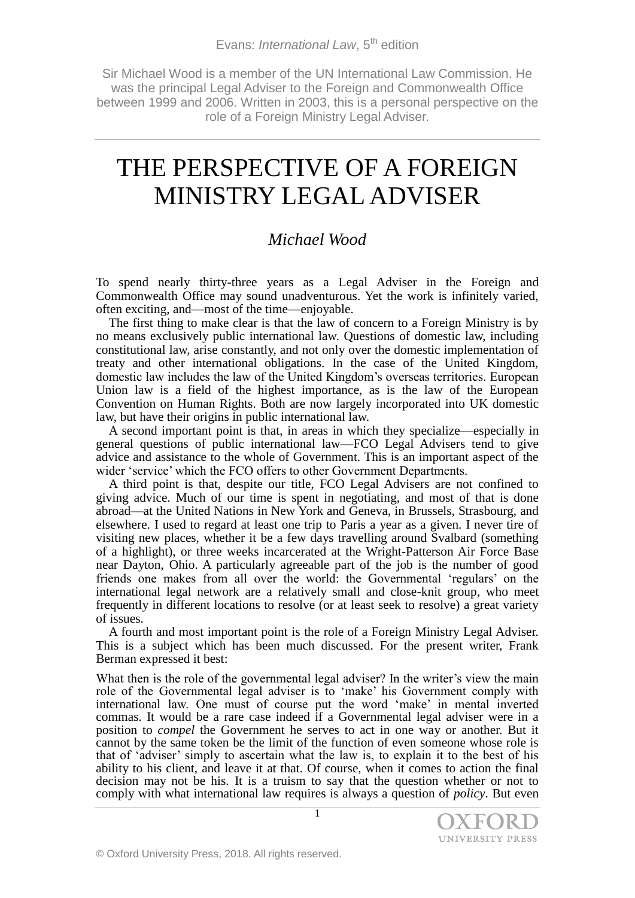Sir Michael Wood is a member of the UN International Law Commission. He was the principal Legal Adviser to the Foreign and Commonwealth Office between 1999 and 2006. Written in 2003, this is a personal perspective on the role of a Foreign Ministry Legal Adviser.

# THE PERSPECTIVE OF A FOREIGN MINISTRY LEGAL ADVISER

## *Michael Wood*

To spend nearly thirty-three years as a Legal Adviser in the Foreign and Commonwealth Office may sound unadventurous. Yet the work is infinitely varied, often exciting, and––most of the time––enjoyable.

The first thing to make clear is that the law of concern to a Foreign Ministry is by no means exclusively public international law. Questions of domestic law, including constitutional law, arise constantly, and not only over the domestic implementation of treaty and other international obligations. In the case of the United Kingdom, domestic law includes the law of the United Kingdom's overseas territories. European Union law is a field of the highest importance, as is the law of the European Convention on Human Rights. Both are now largely incorporated into UK domestic law, but have their origins in public international law.

A second important point is that, in areas in which they specialize––especially in general questions of public international law––FCO Legal Advisers tend to give advice and assistance to the whole of Government. This is an important aspect of the wider 'service' which the FCO offers to other Government Departments.

A third point is that, despite our title, FCO Legal Advisers are not confined to giving advice. Much of our time is spent in negotiating, and most of that is done abroad––at the United Nations in New York and Geneva, in Brussels, Strasbourg, and elsewhere. I used to regard at least one trip to Paris a year as a given. I never tire of visiting new places, whether it be a few days travelling around Svalbard (something of a highlight), or three weeks incarcerated at the Wright-Patterson Air Force Base near Dayton, Ohio. A particularly agreeable part of the job is the number of good friends one makes from all over the world: the Governmental 'regulars' on the international legal network are a relatively small and close-knit group, who meet frequently in different locations to resolve (or at least seek to resolve) a great variety of issues.

A fourth and most important point is the role of a Foreign Ministry Legal Adviser. This is a subject which has been much discussed. For the present writer, Frank Berman expressed it best:

What then is the role of the governmental legal adviser? In the writer's view the main role of the Governmental legal adviser is to 'make' his Government comply with international law. One must of course put the word 'make' in mental inverted commas. It would be a rare case indeed if a Governmental legal adviser were in a position to *compel* the Government he serves to act in one way or another. But it cannot by the same token be the limit of the function of even someone whose role is that of 'adviser' simply to ascertain what the law is, to explain it to the best of his ability to his client, and leave it at that. Of course, when it comes to action the final decision may not be his. It is a truism to say that the question whether or not to comply with what international law requires is always a question of *policy*. But even

1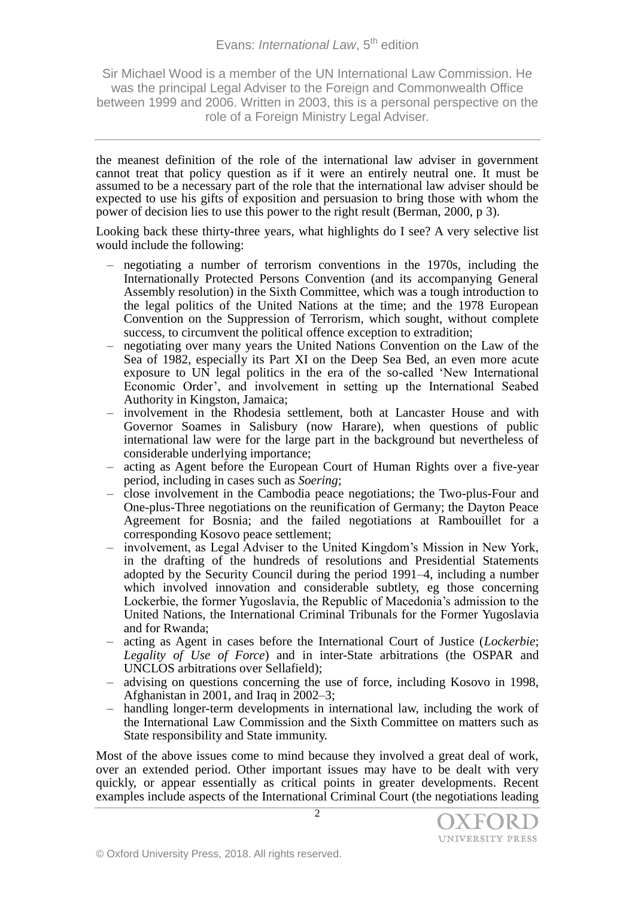### Evans: *International Law*, 5<sup>th</sup> edition

Sir Michael Wood is a member of the UN International Law Commission. He was the principal Legal Adviser to the Foreign and Commonwealth Office between 1999 and 2006. Written in 2003, this is a personal perspective on the role of a Foreign Ministry Legal Adviser.

the meanest definition of the role of the international law adviser in government cannot treat that policy question as if it were an entirely neutral one. It must be assumed to be a necessary part of the role that the international law adviser should be expected to use his gifts of exposition and persuasion to bring those with whom the power of decision lies to use this power to the right result (Berman, 2000, p 3).

Looking back these thirty-three years, what highlights do I see? A very selective list would include the following:

- negotiating a number of terrorism conventions in the 1970s, including the Internationally Protected Persons Convention (and its accompanying General Assembly resolution) in the Sixth Committee, which was a tough introduction to the legal politics of the United Nations at the time; and the 1978 European Convention on the Suppression of Terrorism, which sought, without complete success, to circumvent the political offence exception to extradition;
- negotiating over many years the United Nations Convention on the Law of the Sea of 1982, especially its Part XI on the Deep Sea Bed, an even more acute exposure to UN legal politics in the era of the so-called 'New International Economic Order', and involvement in setting up the International Seabed Authority in Kingston, Jamaica;
- involvement in the Rhodesia settlement, both at Lancaster House and with Governor Soames in Salisbury (now Harare), when questions of public international law were for the large part in the background but nevertheless of considerable underlying importance;
- acting as Agent before the European Court of Human Rights over a five-year period, including in cases such as *Soering*;
- close involvement in the Cambodia peace negotiations; the Two-plus-Four and One-plus-Three negotiations on the reunification of Germany; the Dayton Peace Agreement for Bosnia; and the failed negotiations at Rambouillet for a corresponding Kosovo peace settlement;
- involvement, as Legal Adviser to the United Kingdom's Mission in New York, in the drafting of the hundreds of resolutions and Presidential Statements adopted by the Security Council during the period 1991–4, including a number which involved innovation and considerable subtlety, eg those concerning Lockerbie, the former Yugoslavia, the Republic of Macedonia's admission to the United Nations, the International Criminal Tribunals for the Former Yugoslavia and for Rwanda;
- acting as Agent in cases before the International Court of Justice (*Lockerbie*; *Legality of Use of Force*) and in inter-State arbitrations (the OSPAR and UNCLOS arbitrations over Sellafield);
- advising on questions concerning the use of force, including Kosovo in 1998, Afghanistan in 2001, and Iraq in 2002–3;
- handling longer-term developments in international law, including the work of the International Law Commission and the Sixth Committee on matters such as State responsibility and State immunity.

Most of the above issues come to mind because they involved a great deal of work, over an extended period. Other important issues may have to be dealt with very quickly, or appear essentially as critical points in greater developments. Recent examples include aspects of the International Criminal Court (the negotiations leading